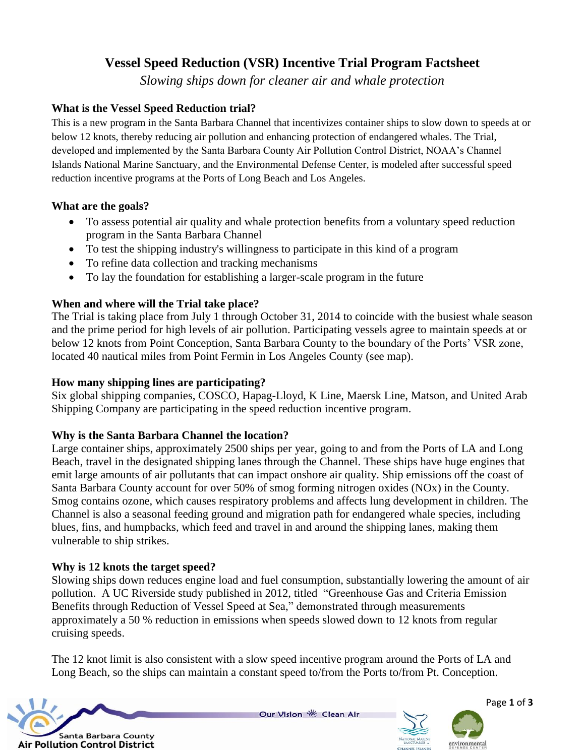# **Vessel Speed Reduction (VSR) Incentive Trial Program Factsheet**

*Slowing ships down for cleaner air and whale protection*

## **What is the Vessel Speed Reduction trial?**

This is a new program in the Santa Barbara Channel that incentivizes container ships to slow down to speeds at or below 12 knots, thereby reducing air pollution and enhancing protection of endangered whales. The Trial, developed and implemented by the Santa Barbara County Air Pollution Control District, NOAA's Channel Islands National Marine Sanctuary, and the Environmental Defense Center, is modeled after successful speed reduction incentive programs at the Ports of Long Beach and Los Angeles.

### **What are the goals?**

- To assess potential air quality and whale protection benefits from a voluntary speed reduction program in the Santa Barbara Channel
- To test the shipping industry's willingness to participate in this kind of a program
- To refine data collection and tracking mechanisms
- To lay the foundation for establishing a larger-scale program in the future

# **When and where will the Trial take place?**

The Trial is taking place from July 1 through October 31, 2014 to coincide with the busiest whale season and the prime period for high levels of air pollution. Participating vessels agree to maintain speeds at or below 12 knots from Point Conception, Santa Barbara County to the boundary of the Ports' VSR zone, located 40 nautical miles from Point Fermin in Los Angeles County (see map).

### **How many shipping lines are participating?**

Six global shipping companies, COSCO, Hapag-Lloyd, K Line, Maersk Line, Matson, and United Arab Shipping Company are participating in the speed reduction incentive program.

# **Why is the Santa Barbara Channel the location?**

Large container ships, approximately 2500 ships per year, going to and from the Ports of LA and Long Beach, travel in the designated shipping lanes through the Channel. These ships have huge engines that emit large amounts of air pollutants that can impact onshore air quality. Ship emissions off the coast of Santa Barbara County account for over 50% of smog forming nitrogen oxides (NOx) in the County. Smog contains ozone, which causes respiratory problems and affects lung development in children. The Channel is also a seasonal feeding ground and migration path for endangered whale species, including blues, fins, and humpbacks, which feed and travel in and around the shipping lanes, making them vulnerable to ship strikes.

### **Why is 12 knots the target speed?**

Slowing ships down reduces engine load and fuel consumption, substantially lowering the amount of air pollution. A UC Riverside study published in 2012, titled "Greenhouse Gas and Criteria Emission Benefits through Reduction of Vessel Speed at Sea," demonstrated through measurements approximately a 50 % reduction in emissions when speeds slowed down to 12 knots from regular cruising speeds.

The 12 knot limit is also consistent with a slow speed incentive program around the Ports of LA and Long Beach, so the ships can maintain a constant speed to/from the Ports to/from Pt. Conception.



Our Vision 卷 Clean Air



Page **1** of **3**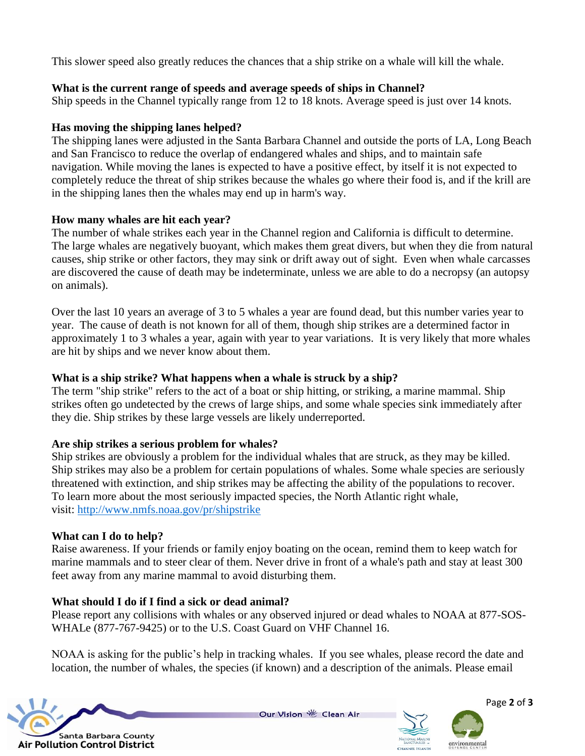This slower speed also greatly reduces the chances that a ship strike on a whale will kill the whale.

#### **What is the current range of speeds and average speeds of ships in Channel?**

Ship speeds in the Channel typically range from 12 to 18 knots. Average speed is just over 14 knots.

#### **Has moving the shipping lanes helped?**

The shipping lanes were adjusted in the Santa Barbara Channel and outside the ports of LA, Long Beach and San Francisco to reduce the overlap of endangered whales and ships, and to maintain safe navigation. While moving the lanes is expected to have a positive effect, by itself it is not expected to completely reduce the threat of ship strikes because the whales go where their food is, and if the krill are in the shipping lanes then the whales may end up in harm's way.

#### **How many whales are hit each year?**

The number of whale strikes each year in the Channel region and California is difficult to determine. The large whales are negatively buoyant, which makes them great divers, but when they die from natural causes, ship strike or other factors, they may sink or drift away out of sight. Even when whale carcasses are discovered the cause of death may be indeterminate, unless we are able to do a necropsy (an autopsy on animals).

Over the last 10 years an average of 3 to 5 whales a year are found dead, but this number varies year to year. The cause of death is not known for all of them, though ship strikes are a determined factor in approximately 1 to 3 whales a year, again with year to year variations. It is very likely that more whales are hit by ships and we never know about them.

#### **What is a ship strike? What happens when a whale is struck by a ship?**

The term "ship strike" refers to the act of a boat or ship hitting, or striking, a marine mammal. Ship strikes often go undetected by the crews of large ships, and some whale species sink immediately after they die. Ship strikes by these large vessels are likely underreported.

### **Are ship strikes a serious problem for whales?**

Ship strikes are obviously a problem for the individual whales that are struck, as they may be killed. Ship strikes may also be a problem for certain populations of whales. Some whale species are seriously threatened with extinction, and ship strikes may be affecting the ability of the populations to recover. To learn more about the most seriously impacted species, the North Atlantic right whale, visit: <http://www.nmfs.noaa.gov/pr/shipstrike>

### **What can I do to help?**

Raise awareness. If your friends or family enjoy boating on the ocean, remind them to keep watch for marine mammals and to steer clear of them. Never drive in front of a whale's path and stay at least 300 feet away from any marine mammal to avoid disturbing them.

#### **What should I do if I find a sick or dead animal?**

Please report any collisions with whales or any observed injured or dead whales to NOAA at 877-SOS-WHALe (877-767-9425) or to the U.S. Coast Guard on VHF Channel 16.

NOAA is asking for the public's help in tracking whales. If you see whales, please record the date and location, the number of whales, the species (if known) and a description of the animals. Please email



Our Vision ※ Clean Air



Page **2** of **3**